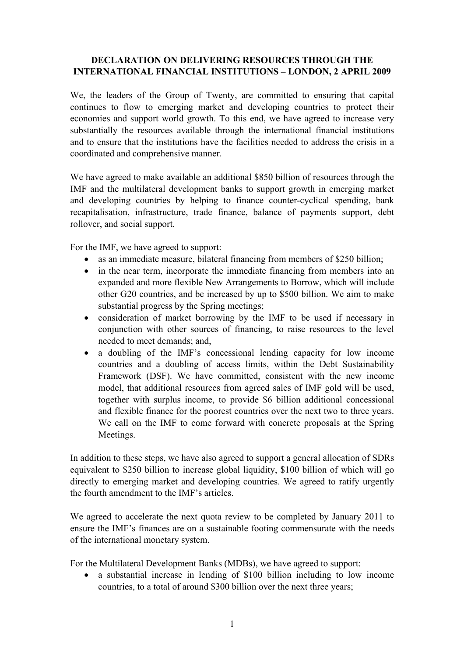## **DECLARATION ON DELIVERING RESOURCES THROUGH THE INTERNATIONAL FINANCIAL INSTITUTIONS – LONDON, 2 APRIL 2009**

We, the leaders of the Group of Twenty, are committed to ensuring that capital continues to flow to emerging market and developing countries to protect their economies and support world growth. To this end, we have agreed to increase very substantially the resources available through the international financial institutions and to ensure that the institutions have the facilities needed to address the crisis in a coordinated and comprehensive manner.

We have agreed to make available an additional \$850 billion of resources through the IMF and the multilateral development banks to support growth in emerging market and developing countries by helping to finance counter-cyclical spending, bank recapitalisation, infrastructure, trade finance, balance of payments support, debt rollover, and social support.

For the IMF, we have agreed to support:

- as an immediate measure, bilateral financing from members of \$250 billion;
- in the near term, incorporate the immediate financing from members into an expanded and more flexible New Arrangements to Borrow, which will include other G20 countries, and be increased by up to \$500 billion. We aim to make substantial progress by the Spring meetings;
- consideration of market borrowing by the IMF to be used if necessary in conjunction with other sources of financing, to raise resources to the level needed to meet demands; and,
- a doubling of the IMF's concessional lending capacity for low income countries and a doubling of access limits, within the Debt Sustainability Framework (DSF). We have committed, consistent with the new income model, that additional resources from agreed sales of IMF gold will be used, together with surplus income, to provide \$6 billion additional concessional and flexible finance for the poorest countries over the next two to three years. We call on the IMF to come forward with concrete proposals at the Spring Meetings.

In addition to these steps, we have also agreed to support a general allocation of SDRs equivalent to \$250 billion to increase global liquidity, \$100 billion of which will go directly to emerging market and developing countries. We agreed to ratify urgently the fourth amendment to the IMF's articles.

We agreed to accelerate the next quota review to be completed by January 2011 to ensure the IMF's finances are on a sustainable footing commensurate with the needs of the international monetary system.

For the Multilateral Development Banks (MDBs), we have agreed to support:

• a substantial increase in lending of \$100 billion including to low income countries, to a total of around \$300 billion over the next three years;